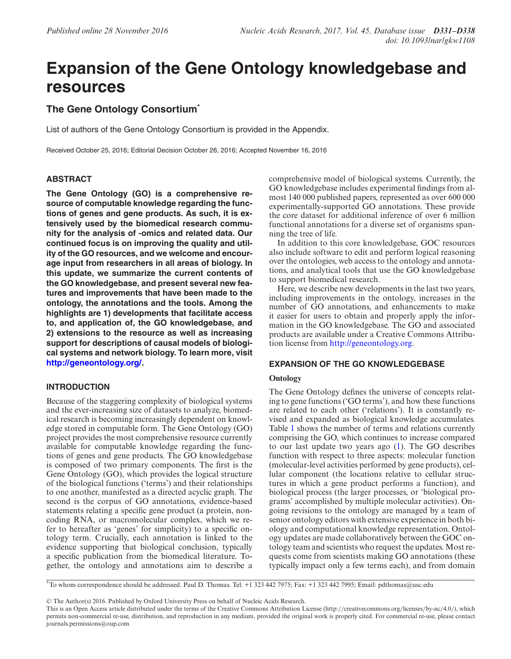# **Expansion of the Gene Ontology knowledgebase and resources**

# **The Gene Ontology Consortium\***

List of authors of the Gene Ontology Consortium is provided in the Appendix.

Received October 25, 2016; Editorial Decision October 26, 2016; Accepted November 16, 2016

# **ABSTRACT**

**The Gene Ontology (GO) is a comprehensive resource of computable knowledge regarding the functions of genes and gene products. As such, it is extensively used by the biomedical research community for the analysis of -omics and related data. Our continued focus is on improving the quality and utility of the GO resources, and we welcome and encourage input from researchers in all areas of biology. In this update, we summarize the current contents of the GO knowledgebase, and present several new features and improvements that have been made to the ontology, the annotations and the tools. Among the highlights are 1) developments that facilitate access to, and application of, the GO knowledgebase, and 2) extensions to the resource as well as increasing support for descriptions of causal models of biological systems and network biology. To learn more, visit [http://geneontology.org/.](http://geneontology.org/)**

# **INTRODUCTION**

Because of the staggering complexity of biological systems and the ever-increasing size of datasets to analyze, biomedical research is becoming increasingly dependent on knowledge stored in computable form. The Gene Ontology (GO) project provides the most comprehensive resource currently available for computable knowledge regarding the functions of genes and gene products. The GO knowledgebase is composed of two primary components. The first is the Gene Ontology (GO), which provides the logical structure of the biological functions ('terms') and their relationships to one another, manifested as a directed acyclic graph. The second is the corpus of GO annotations, evidence-based statements relating a specific gene product (a protein, noncoding RNA, or macromolecular complex, which we refer to hereafter as 'genes' for simplicity) to a specific ontology term. Crucially, each annotation is linked to the evidence supporting that biological conclusion, typically a specific publication from the biomedical literature. Together, the ontology and annotations aim to describe a

comprehensive model of biological systems. Currently, the GO knowledgebase includes experimental findings from almost 140 000 published papers, represented as over 600 000 experimentally-supported GO annotations. These provide the core dataset for additional inference of over 6 million functional annotations for a diverse set of organisms spanning the tree of life.

In addition to this core knowledgebase, GOC resources also include software to edit and perform logical reasoning over the ontologies, web access to the ontology and annotations, and analytical tools that use the GO knowledgebase to support biomedical research.

Here, we describe new developments in the last two years, including improvements in the ontology, increases in the number of GO annotations, and enhancements to make it easier for users to obtain and properly apply the information in the GO knowledgebase. The GO and associated products are available under a Creative Commons Attribution license from [http://geneontology.org.](http://geneontology.org)

# **EXPANSION OF THE GO KNOWLEDGEBASE**

# **Ontology**

The Gene Ontology defines the universe of concepts relating to gene functions ('GO terms'), and how these functions are related to each other ('relations'). It is constantly revised and expanded as biological knowledge accumulates. Table [1](#page-2-0) shows the number of terms and relations currently comprising the GO, which continues to increase compared to our last update two years ago [\(1\)](#page-5-0). The GO describes function with respect to three aspects: molecular function (molecular-level activities performed by gene products), cellular component (the locations relative to cellular structures in which a gene product performs a function), and biological process (the larger processes, or 'biological programs' accomplished by multiple molecular activities). Ongoing revisions to the ontology are managed by a team of senior ontology editors with extensive experience in both biology and computational knowledge representation. Ontology updates are made collaboratively between the GOC ontology team and scientists who request the updates. Most requests come from scientists making GO annotations (these typically impact only a few terms each), and from domain

-<sup>C</sup> The Author(s) 2016. Published by Oxford University Press on behalf of Nucleic Acids Research.

<sup>\*</sup>To whom correspondence should be addressed. Paul D. Thomas. Tel: +1 323 442 7975; Fax: +1 323 442 7995; Email: pdthomas@usc.edu

This is an Open Access article distributed under the terms of the Creative Commons Attribution License (http://creativecommons.org/licenses/by-nc/4.0/), which permits non-commercial re-use, distribution, and reproduction in any medium, provided the original work is properly cited. For commercial re-use, please contact journals.permissions@oup.com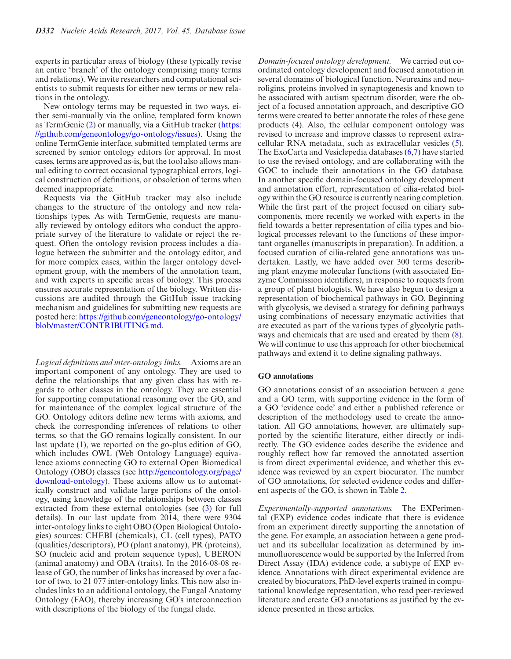experts in particular areas of biology (these typically revise an entire 'branch' of the ontology comprising many terms and relations). We invite researchers and computational scientists to submit requests for either new terms or new relations in the ontology.

New ontology terms may be requested in two ways, either semi-manually via the online, templated form known [as TermGenie \(](https://github.com/geneontology/go-ontology/issues)[2](#page-5-0)[\) or manually, via a GitHub tracker \(https:](https://github.com/geneontology/go-ontology/issues) //github.com/geneontology/go-ontology/issues). Using the online TermGenie interface, submitted templated terms are screened by senior ontology editors for approval. In most cases, terms are approved as-is, but the tool also allows manual editing to correct occasional typographical errors, logical construction of definitions, or obsoletion of terms when deemed inappropriate.

Requests via the GitHub tracker may also include changes to the structure of the ontology and new relationships types. As with TermGenie, requests are manually reviewed by ontology editors who conduct the appropriate survey of the literature to validate or reject the request. Often the ontology revision process includes a dialogue between the submitter and the ontology editor, and for more complex cases, within the larger ontology development group, with the members of the annotation team, and with experts in specific areas of biology. This process ensures accurate representation of the biology. Written discussions are audited through the GitHub issue tracking mechanism and guidelines for submitting new requests are posted here: [https://github.com/geneontology/go-ontology/](https://github.com/geneontology/go-ontology/blob/master/CONTRIBUTING.md) blob/master/CONTRIBUTING.md.

*Logical definitions and inter-ontology links.* Axioms are an important component of any ontology. They are used to define the relationships that any given class has with regards to other classes in the ontology. They are essential for supporting computational reasoning over the GO, and for maintenance of the complex logical structure of the GO. Ontology editors define new terms with axioms, and check the corresponding inferences of relations to other terms, so that the GO remains logically consistent. In our last update [\(1\)](#page-5-0), we reported on the go-plus edition of GO, which includes OWL (Web Ontology Language) equivalence axioms connecting GO to external Open Biomedical Ontology (OBO) classes (see http://geneontology.org/page/ [download-ontology\). These axioms allow us to automat](http://geneontology.org/page/download-ontology)ically construct and validate large portions of the ontology, using knowledge of the relationships between classes extracted from these external ontologies (see [\(3\)](#page-5-0) for full details). In our last update from 2014, there were 9304 inter-ontology links to eight OBO (Open Biological Ontologies) sources: CHEBI (chemicals), CL (cell types), PATO (qualities/descriptors), PO (plant anatomy), PR (proteins), SO (nucleic acid and protein sequence types), UBERON (animal anatomy) and OBA (traits). In the 2016-08-08 release of GO, the number of links has increased by over a factor of two, to 21 077 inter-ontology links. This now also includes links to an additional ontology, the Fungal Anatomy Ontology (FAO), thereby increasing GO's interconnection with descriptions of the biology of the fungal clade.

*Domain-focused ontology development.* We carried out coordinated ontology development and focused annotation in several domains of biological function. Neurexins and neuroligins, proteins involved in synaptogenesis and known to be associated with autism spectrum disorder, were the object of a focused annotation approach, and descriptive GO terms were created to better annotate the roles of these gene products [\(4\)](#page-5-0). Also, the cellular component ontology was revised to increase and improve classes to represent extracellular RNA metadata, such as extracellular vesicles [\(5\)](#page-5-0). The ExoCarta and Vesiclepedia databases [\(6,7\)](#page-5-0) have started to use the revised ontology, and are collaborating with the GOC to include their annotations in the GO database. In another specific domain-focused ontology development and annotation effort, representation of cilia-related biology within the GO resource is currently nearing completion. While the first part of the project focused on ciliary subcomponents, more recently we worked with experts in the field towards a better representation of cilia types and biological processes relevant to the functions of these important organelles (manuscripts in preparation). In addition, a focused curation of cilia-related gene annotations was undertaken. Lastly, we have added over 300 terms describing plant enzyme molecular functions (with associated Enzyme Commission identifiers), in response to requests from a group of plant biologists. We have also begun to design a representation of biochemical pathways in GO. Beginning with glycolysis, we devised a strategy for defining pathways using combinations of necessary enzymatic activities that are executed as part of the various types of glycolytic pathways and chemicals that are used and created by them [\(8\)](#page-6-0). We will continue to use this approach for other biochemical pathways and extend it to define signaling pathways.

#### **GO annotations**

GO annotations consist of an association between a gene and a GO term, with supporting evidence in the form of a GO 'evidence code' and either a published reference or description of the methodology used to create the annotation. All GO annotations, however, are ultimately supported by the scientific literature, either directly or indirectly. The GO evidence codes describe the evidence and roughly reflect how far removed the annotated assertion is from direct experimental evidence, and whether this evidence was reviewed by an expert biocurator. The number of GO annotations, for selected evidence codes and different aspects of the GO, is shown in Table [2.](#page-2-0)

*Experimentally-supported annotations.* The EXPerimental (EXP) evidence codes indicate that there is evidence from an experiment directly supporting the annotation of the gene. For example, an association between a gene product and its subcellular localization as determined by immunofluorescence would be supported by the Inferred from Direct Assay (IDA) evidence code, a subtype of EXP evidence. Annotations with direct experimental evidence are created by biocurators, PhD-level experts trained in computational knowledge representation, who read peer-reviewed literature and create GO annotations as justified by the evidence presented in those articles.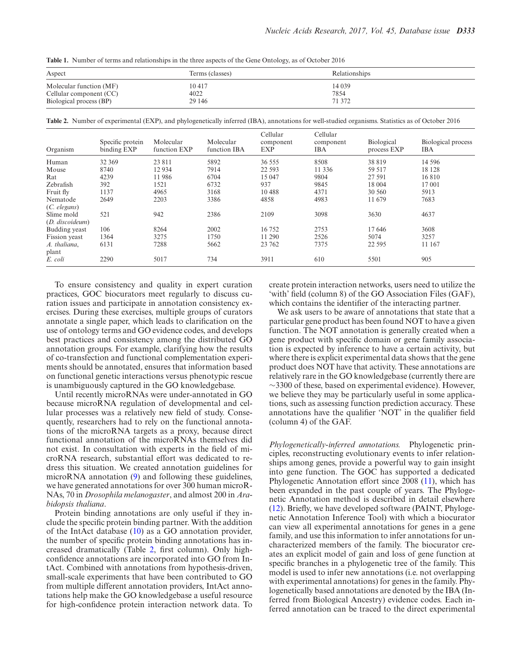<span id="page-2-0"></span>**Table 1.** Number of terms and relationships in the three aspects of the Gene Ontology, as of October 2016

| Aspect                  | Terms (classes) | Relationships |  |  |  |  |
|-------------------------|-----------------|---------------|--|--|--|--|
| Molecular function (MF) | 10417           | 14 0 39       |  |  |  |  |
| Cellular component (CC) | 4022            | 7854          |  |  |  |  |
| Biological process (BP) | 29 14 6         | 71 372        |  |  |  |  |

**Table 2.** Number of experimental (EXP), and phylogenetically inferred (IBA), annotations for well-studied organisms. Statistics as of October 2016

| Organism          | Specific protein<br>binding EXP | Molecular<br>function EXP | Molecular<br>function IBA | Cellular<br>component<br>EXP | Cellular<br>component<br><b>IBA</b> | Biological<br>process EXP | Biological process<br><b>IBA</b> |
|-------------------|---------------------------------|---------------------------|---------------------------|------------------------------|-------------------------------------|---------------------------|----------------------------------|
| Human             | 32 369                          | 23 811                    | 5892                      | 36 555                       | 8508                                | 38 819                    | 14 5 9 6                         |
| Mouse             | 8740                            | 12934                     | 7914                      | 22 5 93                      | 11 3 3 6                            | 59 517                    | 18 128                           |
| Rat               | 4239                            | 11986                     | 6704                      | 15 047                       | 9804                                | 27 591                    | 16810                            |
| Zebrafish         | 392                             | 1521                      | 6732                      | 937                          | 9845                                | 18 004                    | 17 001                           |
| Fruit fly         | 1137                            | 4965                      | 3168                      | 10488                        | 4371                                | 30 560                    | 5913                             |
| Nematode          | 2649                            | 2203                      | 3386                      | 4858                         | 4983                                | 11 679                    | 7683                             |
| $(C.$ elegans $)$ |                                 |                           |                           |                              |                                     |                           |                                  |
| Slime mold        | 521                             | 942                       | 2386                      | 2109                         | 3098                                | 3630                      | 4637                             |
| (D. discoideum)   |                                 |                           |                           |                              |                                     |                           |                                  |
| Budding yeast     | 106                             | 8264                      | 2002                      | 16 752                       | 2753                                | 17646                     | 3608                             |
| Fission yeast     | 1364                            | 3275                      | 1750                      | 11 290                       | 2526                                | 5074                      | 3257                             |
| A. thaliana,      | 6131                            | 7288                      | 5662                      | 23 762                       | 7375                                | 22 5 95                   | 11 167                           |
| plant             |                                 |                           |                           |                              |                                     |                           |                                  |
| E. coli           | 2290                            | 5017                      | 734                       | 3911                         | 610                                 | 5501                      | 905                              |

To ensure consistency and quality in expert curation practices, GOC biocurators meet regularly to discuss curation issues and participate in annotation consistency exercises. During these exercises, multiple groups of curators annotate a single paper, which leads to clarification on the use of ontology terms and GO evidence codes, and develops best practices and consistency among the distributed GO annotation groups. For example, clarifying how the results of co-transfection and functional complementation experiments should be annotated, ensures that information based on functional genetic interactions versus phenotypic rescue is unambiguously captured in the GO knowledgebase.

Until recently microRNAs were under-annotated in GO because microRNA regulation of developmental and cellular processes was a relatively new field of study. Consequently, researchers had to rely on the functional annotations of the microRNA targets as a proxy, because direct functional annotation of the microRNAs themselves did not exist. In consultation with experts in the field of microRNA research, substantial effort was dedicated to redress this situation. We created annotation guidelines for microRNA annotation [\(9\)](#page-6-0) and following these guidelines, we have generated annotations for over 300 human microR-NAs, 70 in *Drosophila melanogaster*, and almost 200 in *Arabidopsis thaliana*.

Protein binding annotations are only useful if they include the specific protein binding partner. With the addition of the IntAct database [\(10\)](#page-6-0) as a GO annotation provider, the number of specific protein binding annotations has increased dramatically (Table 2, first column). Only highconfidence annotations are incorporated into GO from IntAct. Combined with annotations from hypothesis-driven, small-scale experiments that have been contributed to GO from multiple different annotation providers, IntAct annotations help make the GO knowledgebase a useful resource for high-confidence protein interaction network data. To create protein interaction networks, users need to utilize the 'with' field (column 8) of the GO Association Files (GAF), which contains the identifier of the interacting partner.

We ask users to be aware of annotations that state that a particular gene product has been found NOT to have a given function. The NOT annotation is generally created when a gene product with specific domain or gene family association is expected by inference to have a certain activity, but where there is explicit experimental data shows that the gene product does NOT have that activity. These annotations are relatively rare in the GO knowledgebase (currently there are ∼3300 of these, based on experimental evidence). However, we believe they may be particularly useful in some applications, such as assessing function prediction accuracy. These annotations have the qualifier 'NOT' in the qualifier field (column 4) of the GAF.

*Phylogenetically-inferred annotations.* Phylogenetic principles, reconstructing evolutionary events to infer relationships among genes, provide a powerful way to gain insight into gene function. The GOC has supported a dedicated Phylogenetic Annotation effort since 2008 [\(11\)](#page-6-0), which has been expanded in the past couple of years. The Phylogenetic Annotation method is described in detail elsewhere [\(12\)](#page-6-0). Briefly, we have developed software (PAINT, Phylogenetic Annotation Inference Tool) with which a biocurator can view all experimental annotations for genes in a gene family, and use this information to infer annotations for uncharacterized members of the family. The biocurator creates an explicit model of gain and loss of gene function at specific branches in a phylogenetic tree of the family. This model is used to infer new annotations (i.e. not overlapping with experimental annotations) for genes in the family. Phylogenetically based annotations are denoted by the IBA (Inferred from Biological Ancestry) evidence codes. Each inferred annotation can be traced to the direct experimental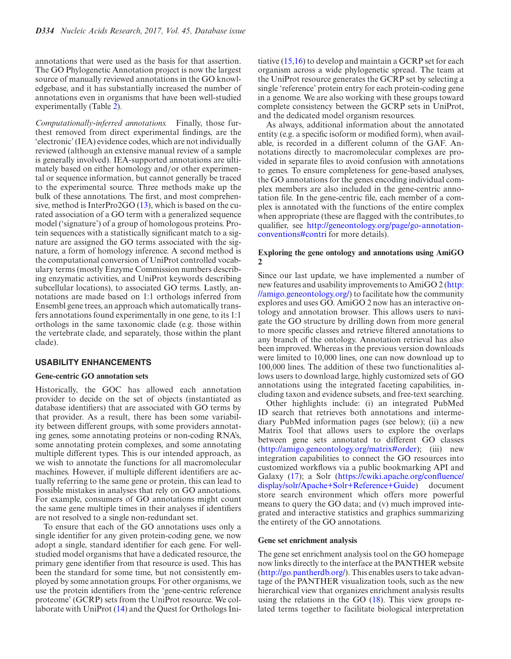annotations that were used as the basis for that assertion. The GO Phylogenetic Annotation project is now the largest source of manually reviewed annotations in the GO knowledgebase, and it has substantially increased the number of annotations even in organisms that have been well-studied experimentally (Table [2\)](#page-2-0).

*Computationally-inferred annotations.* Finally, those furthest removed from direct experimental findings, are the 'electronic' (IEA) evidence codes, which are not individually reviewed (although an extensive manual review of a sample is generally involved). IEA-supported annotations are ultimately based on either homology and/or other experimental or sequence information, but cannot generally be traced to the experimental source. Three methods make up the bulk of these annotations. The first, and most comprehensive, method is InterPro2GO [\(13\)](#page-6-0), which is based on the curated association of a GO term with a generalized sequence model ('signature') of a group of homologous proteins. Protein sequences with a statistically significant match to a signature are assigned the GO terms associated with the signature, a form of homology inference. A second method is the computational conversion of UniProt controlled vocabulary terms (mostly Enzyme Commission numbers describing enzymatic activities, and UniProt keywords describing subcellular locations), to associated GO terms. Lastly, annotations are made based on 1:1 orthologs inferred from Ensembl gene trees, an approach which automatically transfers annotations found experimentally in one gene, to its 1:1 orthologs in the same taxonomic clade (e.g. those within the vertebrate clade, and separately, those within the plant clade).

# **USABILITY ENHANCEMENTS**

## **Gene-centric GO annotation sets**

Historically, the GOC has allowed each annotation provider to decide on the set of objects (instantiated as database identifiers) that are associated with GO terms by that provider. As a result, there has been some variability between different groups, with some providers annotating genes, some annotating proteins or non-coding RNA's, some annotating protein complexes, and some annotating multiple different types. This is our intended approach, as we wish to annotate the functions for all macromolecular machines. However, if multiple different identifiers are actually referring to the same gene or protein, this can lead to possible mistakes in analyses that rely on GO annotations. For example, consumers of GO annotations might count the same gene multiple times in their analyses if identifiers are not resolved to a single non-redundant set.

To ensure that each of the GO annotations uses only a single identifier for any given protein-coding gene, we now adopt a single, standard identifier for each gene. For wellstudied model organisms that have a dedicated resource, the primary gene identifier from that resource is used. This has been the standard for some time, but not consistently employed by some annotation groups. For other organisms, we use the protein identifiers from the 'gene-centric reference proteome' (GCRP) sets from the UniProt resource. We collaborate with UniProt [\(14\)](#page-6-0) and the Quest for Orthologs Ini-

tiative [\(15,16\)](#page-6-0) to develop and maintain a GCRP set for each organism across a wide phylogenetic spread. The team at the UniProt resource generates the GCRP set by selecting a single 'reference' protein entry for each protein-coding gene in a genome. We are also working with these groups toward complete consistency between the GCRP sets in UniProt, and the dedicated model organism resources.

As always, additional information about the annotated entity (e.g. a specific isoform or modified form), when available, is recorded in a different column of the GAF. Annotations directly to macromolecular complexes are provided in separate files to avoid confusion with annotations to genes. To ensure completeness for gene-based analyses, the GO annotations for the genes encoding individual complex members are also included in the gene-centric annotation file. In the gene-centric file, each member of a complex is annotated with the functions of the entire complex when appropriate (these are flagged with the contributes to qualifier, see [http://geneontology.org/page/go-annotation](http://geneontology.org/page/go-annotation-conventions#contri)conventions#contri for more details).

## **Exploring the gene ontology and annotations using AmiGO 2**

Since our last update, we have implemented a number of new features and usability improvements to AmiGO 2 (http: [//amigo.geneontology.org/\) to facilitate how the community](http://amigo.geneontology.org/) explores and uses GO. AmiGO 2 now has an interactive ontology and annotation browser. This allows users to navigate the GO structure by drilling down from more general to more specific classes and retrieve filtered annotations to any branch of the ontology. Annotation retrieval has also been improved. Whereas in the previous version downloads were limited to 10,000 lines, one can now download up to 100,000 lines. The addition of these two functionalities allows users to download large, highly customized sets of GO annotations using the integrated faceting capabilities, including taxon and evidence subsets, and free-text searching.

Other highlights include: (i) an integrated PubMed ID search that retrieves both annotations and intermediary PubMed information pages (see below); (ii) a new Matrix Tool that allows users to explore the overlaps between gene sets annotated to different GO classes [\(http://amigo.geneontology.org/matrix#order\)](http://amigo.geneontology.org/matrix#order); (iii) new integration capabilities to connect the GO resources into customized workflows via a public bookmarking API and Galaxy [\(17\)](#page-6-0); a Solr (https://cwiki.apache.org/confluence/ [display/solr/Apache+Solr+Reference+Guide\) document](https://cwiki.apache.org/confluence/display/solr/Apache+Solr+Reference+Guide) store search environment which offers more powerful means to query the GO data; and (v) much improved integrated and interactive statistics and graphics summarizing the entirety of the GO annotations.

#### **Gene set enrichment analysis**

The gene set enrichment analysis tool on the GO homepage now links directly to the interface at the PANTHER website [\(http://go.pantherdb.org/\)](http://go.pantherdb.org/). This enables users to take advantage of the PANTHER visualization tools, such as the new hierarchical view that organizes enrichment analysis results using the relations in the GO  $(18)$ . This view groups related terms together to facilitate biological interpretation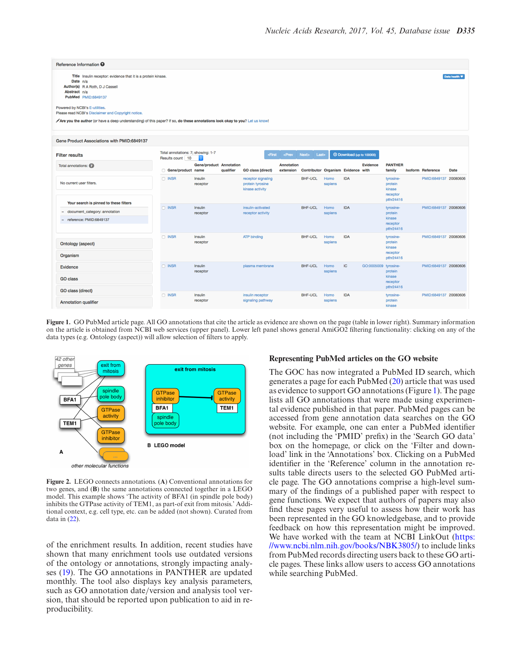<span id="page-4-0"></span>

| Reference Information <sup>O</sup>                                                                                                                                                                                                                                                                                                                                          |                                                        |                                             |                                                           |                                |                                    |                 |                                      |                      |                                                         |  |                          |             |
|-----------------------------------------------------------------------------------------------------------------------------------------------------------------------------------------------------------------------------------------------------------------------------------------------------------------------------------------------------------------------------|--------------------------------------------------------|---------------------------------------------|-----------------------------------------------------------|--------------------------------|------------------------------------|-----------------|--------------------------------------|----------------------|---------------------------------------------------------|--|--------------------------|-------------|
| Title Insulin receptor: evidence that it is a protein kinase.<br>Date n/a<br>Author(s) R A Roth, D J Cassell<br>Abstract n/a<br>PubMed PMID:6849137<br>Powered by NCBI's E-utilities.<br>Please read NCBI's Disclaimer and Copyright notice.<br>Are you the author (or have a deep understanding) of this paper? If so, do these annotations look okay to you? Let us know! |                                                        |                                             |                                                           |                                |                                    |                 |                                      |                      |                                                         |  |                          | Data health |
| Gene Product Associations with PMID:6849137                                                                                                                                                                                                                                                                                                                                 |                                                        |                                             |                                                           |                                |                                    |                 |                                      |                      |                                                         |  |                          |             |
| <b>Filter results</b>                                                                                                                                                                                                                                                                                                                                                       | Total annotations: 7; showing: 1-7<br>Results count 10 |                                             | «First                                                    | $<$ Prev                       | <b>Next&gt;</b><br><b>Last</b>     |                 | <sup>①</sup> Download (up to 100000) |                      |                                                         |  |                          |             |
| Total annotations:                                                                                                                                                                                                                                                                                                                                                          | Gene/product name                                      | <b>Gene/product Annotation</b><br>qualifier | <b>GO class (direct)</b>                                  | <b>Annotation</b><br>extension | Contributor Organism Evidence with |                 |                                      | <b>Evidence</b>      | <b>PANTHER</b><br>family                                |  | <b>Isoform Reference</b> | <b>Date</b> |
| No current user filters.                                                                                                                                                                                                                                                                                                                                                    | $\Box$ INSR                                            | Insulin<br>receptor                         | receptor signaling<br>protein tyrosine<br>kinase activity |                                | <b>BHF-UCL</b>                     | Homo<br>sapiens | <b>IDA</b>                           |                      | tyrosine-<br>protein<br>kinase<br>receptor<br>pthr24416 |  | PMID:6849137 20080606    |             |
| Your search is pinned to these filters<br>document_category: annotation                                                                                                                                                                                                                                                                                                     | $\Box$ INSR                                            | <b>Insulin</b>                              | insulin-activated                                         |                                | <b>BHF-UCL</b>                     | Homo            | <b>IDA</b>                           |                      | tyrosine-                                               |  | PMID:6849137 20080606    |             |
| reference: PMID:6849137                                                                                                                                                                                                                                                                                                                                                     |                                                        | receptor                                    | receptor activity                                         |                                |                                    | sapiens         |                                      |                      | protein<br>kinase<br>receptor<br>pthr24416              |  |                          |             |
| <b>Ontology (aspect)</b>                                                                                                                                                                                                                                                                                                                                                    | $\Box$ INSR                                            | Insulin<br>receptor                         | <b>ATP binding</b>                                        |                                | <b>BHF-UCL</b>                     | Homo<br>sapiens | <b>IDA</b>                           |                      | tyrosine-<br>protein<br>kinase<br>receptor              |  | PMID:6849137 20080606    |             |
| Organism                                                                                                                                                                                                                                                                                                                                                                    |                                                        |                                             |                                                           |                                |                                    |                 |                                      |                      | pthr24416                                               |  |                          |             |
| Evidence                                                                                                                                                                                                                                                                                                                                                                    | $\Box$ INSR                                            | Insulin<br>receptor                         | plasma membrane                                           |                                | <b>BHF-UCL</b><br>Homo<br>sapiens  |                 | IC                                   | GO:0005009 tyrosine- | protein<br>kinase<br>receptor<br>pthr24416              |  | PMID:6849137 20080606    |             |
| <b>GO class</b>                                                                                                                                                                                                                                                                                                                                                             |                                                        |                                             |                                                           |                                |                                    |                 |                                      |                      |                                                         |  |                          |             |
| <b>GO class (direct)</b><br><b>Annotation qualifier</b>                                                                                                                                                                                                                                                                                                                     | $\Box$ INSR                                            | Insulin<br>receptor                         | insulin receptor<br>signaling pathway                     |                                | <b>BHF-UCL</b>                     | Homo<br>sapiens | <b>IDA</b>                           |                      | tyrosine-<br>protein                                    |  | PMID:6849137 20080606    |             |

**Figure 1.** GO PubMed article page. All GO annotations that cite the article as evidence are shown on the page (table in lower right). Summary information on the article is obtained from NCBI web services (upper panel). Lower left panel shows general AmiGO2 filtering functionality: clicking on any of the data types (e.g. Ontology (aspect)) will allow selection of filters to apply.



**Figure 2.** LEGO connects annotations. (**A**) Conventional annotations for two genes, and (**B**) the same annotations connected together in a LEGO model. This example shows 'The activity of BFA1 (in spindle pole body) inhibits the GTPase activity of TEM1, as part-of exit from mitosis.' Additional context, e.g. cell type, etc. can be added (not shown). Curated from data in [\(22\)](#page-6-0).

of the enrichment results. In addition, recent studies have shown that many enrichment tools use outdated versions of the ontology or annotations, strongly impacting analyses [\(19\)](#page-6-0). The GO annotations in PANTHER are updated monthly. The tool also displays key analysis parameters, such as GO annotation date/version and analysis tool version, that should be reported upon publication to aid in reproducibility.

#### **Representing PubMed articles on the GO website**

The GOC has now integrated a PubMed ID search, which generates a page for each PubMed [\(20\)](#page-6-0) article that was used as evidence to support GO annotations (Figure 1). The page lists all GO annotations that were made using experimental evidence published in that paper. PubMed pages can be accessed from gene annotation data searches on the GO website. For example, one can enter a PubMed identifier (not including the 'PMID' prefix) in the 'Search GO data' box on the homepage, or click on the 'Filter and download' link in the 'Annotations' box. Clicking on a PubMed identifier in the 'Reference' column in the annotation results table directs users to the selected GO PubMed article page. The GO annotations comprise a high-level summary of the findings of a published paper with respect to gene functions. We expect that authors of papers may also find these pages very useful to assess how their work has been represented in the GO knowledgebase, and to provide feedback on how this representation might be improved. [We have worked with the team at NCBI LinkOut \(https:](https://www.ncbi.nlm.nih.gov/books/NBK3805/) //www.ncbi.nlm.nih.gov/books/NBK3805/) to include links from PubMed records directing users back to these GO article pages. These links allow users to access GO annotations while searching PubMed.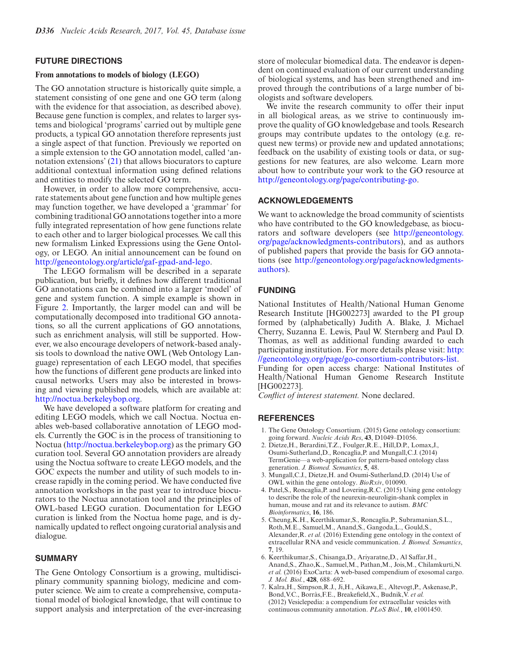#### <span id="page-5-0"></span>**FUTURE DIRECTIONS**

#### **From annotations to models of biology (LEGO)**

The GO annotation structure is historically quite simple, a statement consisting of one gene and one GO term (along with the evidence for that association, as described above). Because gene function is complex, and relates to larger systems and biological 'programs' carried out by multiple gene products, a typical GO annotation therefore represents just a single aspect of that function. Previously we reported on a simple extension to the GO annotation model, called 'annotation extensions' [\(21\)](#page-6-0) that allows biocurators to capture additional contextual information using defined relations and entities to modify the selected GO term.

However, in order to allow more comprehensive, accurate statements about gene function and how multiple genes may function together, we have developed a 'grammar' for combining traditional GO annotations together into a more fully integrated representation of how gene functions relate to each other and to larger biological processes. We call this new formalism Linked Expressions using the Gene Ontology, or LEGO. An initial announcement can be found on [http://geneontology.org/article/gaf-gpad-and-lego.](http://geneontology.org/article/gaf-gpad-and-lego)

The LEGO formalism will be described in a separate publication, but briefly, it defines how different traditional GO annotations can be combined into a larger 'model' of gene and system function. A simple example is shown in Figure [2.](#page-4-0) Importantly, the larger model can and will be computationally decomposed into traditional GO annotations, so all the current applications of GO annotations, such as enrichment analysis, will still be supported. However, we also encourage developers of network-based analysis tools to download the native OWL (Web Ontology Language) representation of each LEGO model, that specifies how the functions of different gene products are linked into causal networks. Users may also be interested in browsing and viewing published models, which are available at: [http://noctua.berkeleybop.org.](http://noctua.berkeleybop.org)

We have developed a software platform for creating and editing LEGO models, which we call Noctua. Noctua enables web-based collaborative annotation of LEGO models. Currently the GOC is in the process of transitioning to Noctua [\(http://noctua.berkeleybop.org\)](http://noctua.berkeleybop.org) as the primary GO curation tool. Several GO annotation providers are already using the Noctua software to create LEGO models, and the GOC expects the number and utility of such models to increase rapidly in the coming period. We have conducted five annotation workshops in the past year to introduce biocurators to the Noctua annotation tool and the principles of OWL-based LEGO curation. Documentation for LEGO curation is linked from the Noctua home page, and is dynamically updated to reflect ongoing curatorial analysis and dialogue.

# **SUMMARY**

The Gene Ontology Consortium is a growing, multidisciplinary community spanning biology, medicine and computer science. We aim to create a comprehensive, computational model of biological knowledge, that will continue to support analysis and interpretation of the ever-increasing store of molecular biomedical data. The endeavor is dependent on continued evaluation of our current understanding of biological systems, and has been strengthened and improved through the contributions of a large number of biologists and software developers.

We invite the research community to offer their input in all biological areas, as we strive to continuously improve the quality of GO knowledgebase and tools. Research groups may contribute updates to the ontology (e.g. request new terms) or provide new and updated annotations; feedback on the usability of existing tools or data, or suggestions for new features, are also welcome. Learn more about how to contribute your work to the GO resource at [http://geneontology.org/page/contributing-go.](http://geneontology.org/page/contributing-go)

## **ACKNOWLEDGEMENTS**

We want to acknowledge the broad community of scientists who have contributed to the GO knowledgebase, as biocurators and software developers (see http://geneontology. [org/page/acknowledgments-contributors\), and as authors](http://geneontology.org/page/acknowledgments-contributors) of published papers that provide the basis for GO annotations (see [http://geneontology.org/page/acknowledgments](http://geneontology.org/page/acknowledgments-authors)authors).

## **FUNDING**

National Institutes of Health/National Human Genome Research Institute [HG002273] awarded to the PI group formed by (alphabetically) Judith A. Blake, J. Michael Cherry, Suzanna E. Lewis, Paul W. Sternberg and Paul D. Thomas, as well as additional funding awarded to each participating institution. For more details please visit: http: [//geneontology.org/page/go-consortium-contributors-list.](http://geneontology.org/page/go-consortium-contributors-list)

Funding for open access charge: National Institutes of Health/National Human Genome Research Institute [HG002273].

*Conflict of interest statement.* None declared.

#### **REFERENCES**

- 1. The Gene Ontology Consortium. (2015) Gene ontology consortium: going forward. *Nucleic Acids Res*, **43**, D1049–D1056.
- 2. Dietze,H., Berardini,T.Z., Foulger,R.E., Hill,D.P., Lomax,J., Osumi-Sutherland,D., Roncaglia,P. and Mungall,C.J. (2014) TermGenie––a web-application for pattern-based ontology class generation. *J. Biomed. Semantics*, **5**, 48.
- 3. Mungall,C.J., Dietze,H. and Osumi-Sutherland,D. (2014) Use of OWL within the gene ontology. *BioRxiv*, 010090.
- 4. Patel,S., Roncaglia,P. and Lovering,R.C. (2015) Using gene ontology to describe the role of the neurexin-neuroligin-shank complex in human, mouse and rat and its relevance to autism. *BMC Bioinformatics*, **16**, 186.
- 5. Cheung,K.H., Keerthikumar,S., Roncaglia,P., Subramanian,S.L., Roth,M.E., Samuel,M., Anand,S., Gangoda,L., Gould,S., Alexander,R. *et al.* (2016) Extending gene ontology in the context of extracellular RNA and vesicle communication. *J. Biomed. Semantics*, **7**, 19.
- 6. Keerthikumar,S., Chisanga,D., Ariyaratne,D., Al Saffar,H., Anand,S., Zhao,K., Samuel,M., Pathan,M., Jois,M., Chilamkurti,N. *et al.* (2016) ExoCarta: A web-based compendium of exosomal cargo. *J. Mol. Biol.*, **428**, 688–692.
- 7. Kalra,H., Simpson,R.J., Ji,H., Aikawa,E., Altevogt,P., Askenase,P., Bond, V.C., Borràs, F.E., Breakefield, X., Budnik, V. et al. (2012) Vesiclepedia: a compendium for extracellular vesicles with continuous community annotation. *PLoS Biol.*, **10**, e1001450.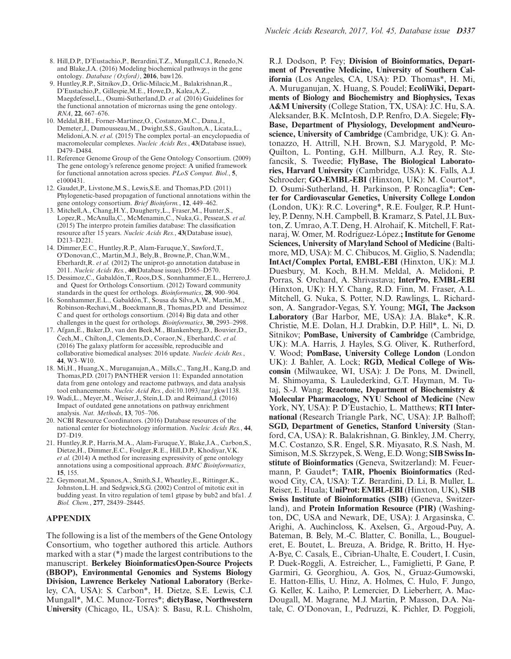- <span id="page-6-0"></span>8. Hill,D.P., D'Eustachio,P., Berardini,T.Z., Mungall,C.J., Renedo,N. and Blake,J.A. (2016) Modeling biochemical pathways in the gene ontology. *Database (Oxford)*, **2016**, baw126.
- 9. Huntley,R.P., Sitnikov,D., Orlic-Milacic,M., Balakrishnan,R., D'Eustachio,P., Gillespie,M.E., Howe,D., Kalea,A.Z., Maegdefessel,L., Osumi-Sutherland,D. *et al.* (2016) Guidelines for the functional annotation of micrornas using the gene ontology. *RNA*, **22**, 667–676.
- 10. Meldal,B.H., Forner-Martinez,O., Costanzo,M.C., Dana,J., Demeter,J., Dumousseau,M., Dwight,S.S., Gaulton,A., Licata,L., Melidoni,A.N. *et al.* (2015) The complex portal–an encyclopaedia of macromolecular complexes. *Nucleic Acids Res.*, **43**(Database issue), D479–D484.
- 11. Reference Genome Group of the Gene Ontology Consortium. (2009) The gene ontology's reference genome project: A unified framework for functional annotation across species. *PLoS Comput. Biol.*, **5**, e1000431.
- 12. Gaudet,P., Livstone,M.S., Lewis,S.E. and Thomas,P.D. (2011) Phylogenetic-based propagation of functional annotations within the gene ontology consortium. *Brief Bioinform.*, **12**, 449–462.
- 13. Mitchell,A., Chang,H.Y., Daugherty,L., Fraser,M., Hunter,S., Lopez,R., McAnulla,C., McMenamin,C., Nuka,G., Pesseat,S. *et al.* (2015) The interpro protein families database: The classification resource after 15 years. *Nucleic Acids Res.*, **43**(Database issue), D213–D221.
- 14. Dimmer,E.C., Huntley,R.P., Alam-Faruque,Y., Sawford,T., O'Donovan,C., Martin,M.J., Bely,B., Browne,P., Chan,W.M., Eberhardt,R. *et al.* (2012) The uniprot-go annotation database in 2011. *Nucleic Acids Res.*, **40**(Database issue), D565–D570.
- 15. Dessimoz, C., Gabaldón, T., Roos, D.S., Sonnhammer, E.L., Herrero, J. and Quest for Orthologs Consortium. (2012) Toward community standards in the quest for orthologs. *Bioinformatics*, **28**, 900–904.
- 16. Sonnhammer, E.L., Gabaldón, T., Sousa da Silva, A.W., Martin, M., Robinson-Rechavi,M., Boeckmann,B., Thomas,P.D. and Dessimoz C and quest for orthologs consortium. (2014) Big data and other challenges in the quest for orthologs. *Bioinformatics*, **30**, 2993–2998.
- 17. Afgan,E., Baker,D., van den Beek,M., Blankenberg,D., Bouvier,D., Čech,M., Chilton,J., Clements,D., Coraor,N., Eberhard,C. et al. (2016) The galaxy platform for accessible, reproducible and collaborative biomedical analyses: 2016 update. *Nucleic Acids Res.*, **44**, W3–W10.
- 18. Mi,H., Huang,X., Muruganujan,A., Mills,C., Tang,H., Kang,D. and Thomas,P.D. (2017) PANTHER version 11: Expanded annotation data from gene ontology and reactome pathways, and data analysis tool enhancements. *Nucleic Acid Res.*, doi:10.1093/nar/gkw1138.
- 19. Wadi,L., Meyer,M., Weiser,J., Stein,L.D. and Reimand,J. (2016) Impact of outdated gene annotations on pathway enrichment analysis. *Nat. Methods*, **13**, 705–706.
- 20. NCBI Resource Coordinators. (2016) Database resources of the national center for biotechnology information. *Nucleic Acids Res.*, **44**,  $D7-D19$
- 21. Huntley,R.P., Harris,M.A., Alam-Faruque,Y., Blake,J.A., Carbon,S., Dietze,H., Dimmer,E.C., Foulger,R.E., Hill,D.P., Khodiyar,V.K. *et al.* (2014) A method for increasing expressivity of gene ontology annotations using a compositional approach. *BMC Bioinformatics*, **15**, 155.
- 22. Geymonat,M., Spanos,A., Smith,S.J., Wheatley,E., Rittinger,K., Johnston,L.H. and Sedgwick,S.G. (2002) Control of mitotic exit in budding yeast. In vitro regulation of tem1 gtpase by bub2 and bfa1. *J. Biol. Chem.*, **277**, 28439–28445.

## **APPENDIX**

The following is a list of the members of the Gene Ontology Consortium, who together authored this article. Authors marked with a star (\*) made the largest contributions to the manuscript. **Berkeley BioinformaticsOpen-Source Projects (BBOP), Environmental Genomics and Systems Biology Division, Lawrence Berkeley National Laboratory** (Berkeley, CA, USA): S. Carbon\*, H. Dietze, S.E. Lewis, C.J. Mungall\*, M.C. Munoz-Torres\*; **dictyBase, Northwestern University** (Chicago, IL, USA): S. Basu, R.L. Chisholm, R.J. Dodson, P. Fey; **Division of Bioinformatics, Department of Preventive Medicine, University of Southern California** (Los Angeles, CA, USA): P.D. Thomas\*, H. Mi, A. Muruganujan, X. Huang, S. Poudel; **EcoliWiki, Departments of Biology and Biochemistry and Biophysics, Texas A&M University** (College Station, TX, USA): J.C. Hu, S.A. Aleksander, B.K. McIntosh, D.P. Renfro, D.A. Siegele; **Fly-Base, Department of Physiology, Development andNeuroscience, University of Cambridge** (Cambridge, UK): G. Antonazzo, H. Attrill, N.H. Brown, S.J. Marygold, P. Mc-Quilton, L. Ponting, G.H. Millburn, A.J. Rey, R. Stefancsik, S. Tweedie; **FlyBase, The Biological Laboratories, Harvard University** (Cambridge, USA): K. Falls, A.J. Schroeder; **GO-EMBL-EBI** (Hinxton, UK): M. Courtot\*, D. Osumi-Sutherland, H. Parkinson, P. Roncaglia\*; **Center for Cardiovascular Genetics, University College London** (London, UK): R.C. Lovering\*, R.E. Foulger, R.P. Huntley, P. Denny, N.H. Campbell, B. Kramarz, S. Patel, J.L Buxton, Z. Umrao, A.T. Deng, H. Alrohaif, K. Mitchell, F. Ratnaraj, W. Omer, M. Rodríguez-López.; Institute for Genome **Sciences, University of Maryland School of Medicine** (Baltimore, MD, USA): M. C. Chibucos, M. Giglio, S. Nadendla; **IntAct***/***Complex Portal, EMBL-EBI** (Hinxton, UK): M.J. Duesbury, M. Koch, B.H.M. Meldal, A. Melidoni, P. Porras, S. Orchard, A. Shrivastava; **InterPro, EMBL-EBI** (Hinxton, UK): H.Y. Chang, R.D. Finn, M. Fraser, A.L. Mitchell, G. Nuka, S. Potter, N.D. Rawlings, L. Richardson, A. Sangrador-Vegas, S.Y. Young; **MGI, The Jackson Laboratory** (Bar Harbor, ME, USA): J.A. Blake\*, K.R. Christie, M.E. Dolan, H.J. Drabkin, D.P. Hill\*, L. Ni, D. Sitnikov; **PomBase, University of Cambridge** (Cambridge, UK): M.A. Harris, J. Hayles, S.G. Oliver, K. Rutherford, V. Wood; **PomBase, University College London** (London UK): J. Bahler, A. Lock; **RGD, Medical College of Wisconsin** (Milwaukee, WI, USA): J. De Pons, M. Dwinell, M. Shimoyama, S. Laulederkind, G.T. Hayman, M. Tutaj, S.-J. Wang; **Reactome, Department of Biochemistry & Molecular Pharmacology, NYU School of Medicine** (New York, NY, USA): P. D'Eustachio, L. Matthews; **RTI International** (Research Triangle Park, NC, USA): J.P. Balhoff; **SGD, Department of Genetics, Stanford University** (Stanford, CA, USA): R. Balakrishnan, G. Binkley, J.M. Cherry, M.C. Costanzo, S.R. Engel, S.R. Miyasato, R.S. Nash, M. Simison, M.S. Skrzypek, S. Weng, E.D. Wong; **SIB Swiss Institute of Bioinformatics** (Geneva, Switzerland): M. Feuermann, P. Gaudet\*; **TAIR, Phoenix Bioinformatics** (Redwood City, CA, USA): T.Z. Berardini, D. Li, B. Muller, L. Reiser, E. Huala; **UniProt: EMBL-EBI**(Hinxton, UK), **SIB Swiss Institute of Bioinformatics (SIB)** (Geneva, Switzerland), and **Protein Information Resource (PIR)** (Washington, DC, USA and Newark, DE, USA): J. Argasinska, C. Arighi, A. Auchincloss, K. Axelsen, G., Argoud-Puy, A. Bateman, B. Bely, M.-C. Blatter, C. Bonilla, L., Bougueleret, E. Boutet, L. Breuza, A. Bridge, R. Britto, H. Hye-A-Bye, C. Casals, E., Cibrian-Uhalte, E. Coudert, I. Cusin, P. Duek-Roggli, A. Estreicher, L., Famiglietti, P. Gane, P. Garmiri, G. Georghiou, A. Gos, N., Gruaz-Gumowski, E. Hatton-Ellis, U. Hinz, A. Holmes, C. Hulo, F. Jungo, G. Keller, K. Laiho, P. Lemercier, D. Lieberherr, A. Mac-Dougall, M. Magrane, M.J. Martin, P. Masson, D.A. Natale, C. O'Donovan, I., Pedruzzi, K. Pichler, D. Poggioli,